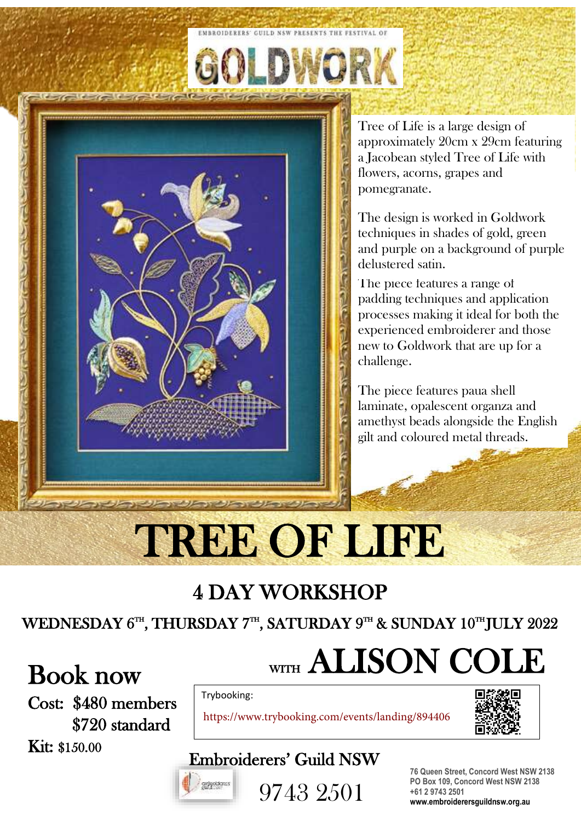

Tree of Life is a large design of approximately 20cm x 29cm featuring a Jacobean styled Tree of Life with flowers, acorns, grapes and pomegranate.

The design is worked in Goldwork techniques in shades of gold, green and purple on a background of purple delustered satin.

The piece features a range of padding techniques and application processes making it ideal for both the experienced embroiderer and those new to Goldwork that are up for a challenge.

The piece features paua shell laminate, opalescent organza and amethyst beads alongside the English gilt and coloured metal threads.

## TREE OF LIFE

**EMBROIDERERS' GUILD NSW PRESENTS THE FESTIVAL OF** 

WORK

## 4 DAY WORKSHOP

#### WEDNESDAY 6TH, THURSDAY 7TH, SATURDAY 9TH & SUNDAY 10THJULY 2022

## Book now

Cost: \$480 members \$720 standard Kit: \$150.00

## WITH ALISON COLE

Trybooking:

https://www.trybooking.com/events/landing/894406



### Embroiderers' Guild NSW



9743 2501

**76 Queen Street, Concord West NSW 2138 PO Box 109, Concord West NSW 2138 +61 2 9743 2501 www.embroiderersguildnsw.org.au**